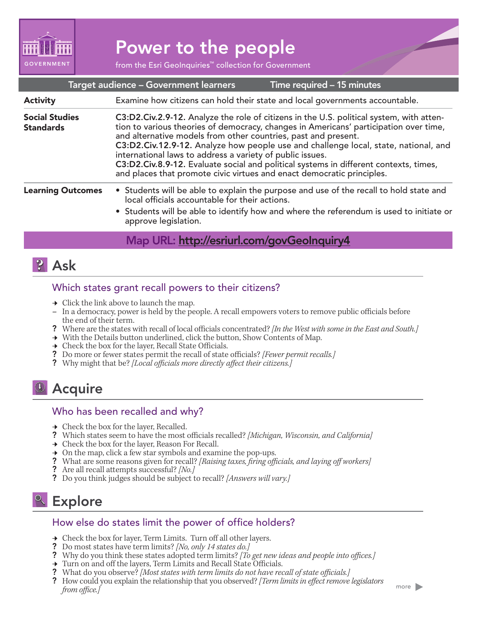

# Power to the people

from the Esri GeoInquiries™ collection for Government

|                                           | Target audience - Government learners                                                                                                                                                                                                                                                                                                                                                                                                                                                                                                                                      | Time required - 15 minutes |  |
|-------------------------------------------|----------------------------------------------------------------------------------------------------------------------------------------------------------------------------------------------------------------------------------------------------------------------------------------------------------------------------------------------------------------------------------------------------------------------------------------------------------------------------------------------------------------------------------------------------------------------------|----------------------------|--|
| <b>Activity</b>                           | Examine how citizens can hold their state and local governments accountable.                                                                                                                                                                                                                                                                                                                                                                                                                                                                                               |                            |  |
| <b>Social Studies</b><br><b>Standards</b> | C3:D2.Civ.2.9-12. Analyze the role of citizens in the U.S. political system, with atten-<br>tion to various theories of democracy, changes in Americans' participation over time,<br>and alternative models from other countries, past and present.<br>C3:D2.Civ.12.9-12. Analyze how people use and challenge local, state, national, and<br>international laws to address a variety of public issues.<br>C3:D2.Civ.8.9-12. Evaluate social and political systems in different contexts, times,<br>and places that promote civic virtues and enact democratic principles. |                            |  |
| <b>Learning Outcomes</b>                  | • Students will be able to explain the purpose and use of the recall to hold state and<br>local officials accountable for their actions.<br>• Students will be able to identify how and where the referendum is used to initiate or<br>approve legislation.                                                                                                                                                                                                                                                                                                                |                            |  |
|                                           | Map URL: http://esriurl.com/govGeoInquiry4                                                                                                                                                                                                                                                                                                                                                                                                                                                                                                                                 |                            |  |

### **?** Ask

#### Which states grant recall powers to their citizens?

- $\rightarrow$  Click the link above to launch the map.
- **–** In a democracy, power is held by the people. A recall empowers voters to remove public officials before the end of their term.
- ? Where are the states with recall of local officials concentrated? *[In the West with some in the East and South.]*
- → With the Details button underlined, click the button, Show Contents of Map.
- $\rightarrow$  Check the box for the layer, Recall State Officials.
- ? Do more or fewer states permit the recall of state officials? *[Fewer permit recalls.]*
- ? Why might that be? *[Local officials more directly affect their citizens.]*

## **9** Acquire

#### Who has been recalled and why?

- $\rightarrow$  Check the box for the layer, Recalled.
- ? Which states seem to have the most officials recalled? *[Michigan, Wisconsin, and California]*
- → Check the box for the layer, Reason For Recall.
- $\rightarrow$  On the map, click a few star symbols and examine the pop-ups.
- ? What are some reasons given for recall? *[Raising taxes, firing officials, and laying off workers]*
- ? Are all recall attempts successful? *[No.]*
- ? Do you think judges should be subject to recall? *[Answers will vary.]*

## **Explore**

#### How else do states limit the power of office holders?

- $\rightarrow$  Check the box for layer, Term Limits. Turn off all other layers.
- ? Do most states have term limits? *[No, only 14 states do.]*
- ? Why do you think these states adopted term limits? *[To get new ideas and people into offices.]*
- → Turn on and off the layers, Term Limits and Recall State Officials.
- ? What do you observe? *[Most states with term limits do not have recall of state officials.]*
- ? How could you explain the relationship that you observed? *[Term limits in effect remove legislators from office.]*